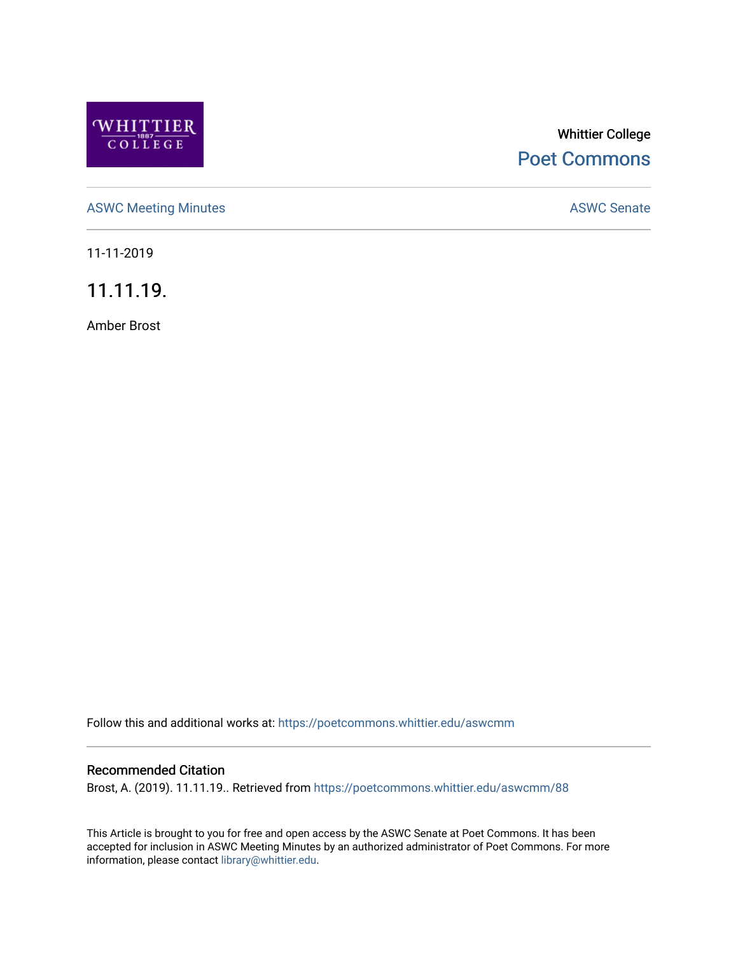

# Whittier College [Poet Commons](https://poetcommons.whittier.edu/)

[ASWC Meeting Minutes](https://poetcommons.whittier.edu/aswcmm) **ASWC Senate** 

11-11-2019

11.11.19.

Amber Brost

Follow this and additional works at: [https://poetcommons.whittier.edu/aswcmm](https://poetcommons.whittier.edu/aswcmm?utm_source=poetcommons.whittier.edu%2Faswcmm%2F88&utm_medium=PDF&utm_campaign=PDFCoverPages)

#### Recommended Citation

Brost, A. (2019). 11.11.19.. Retrieved from [https://poetcommons.whittier.edu/aswcmm/88](https://poetcommons.whittier.edu/aswcmm/88?utm_source=poetcommons.whittier.edu%2Faswcmm%2F88&utm_medium=PDF&utm_campaign=PDFCoverPages)

This Article is brought to you for free and open access by the ASWC Senate at Poet Commons. It has been accepted for inclusion in ASWC Meeting Minutes by an authorized administrator of Poet Commons. For more information, please contact [library@whittier.edu.](mailto:library@whittier.edu)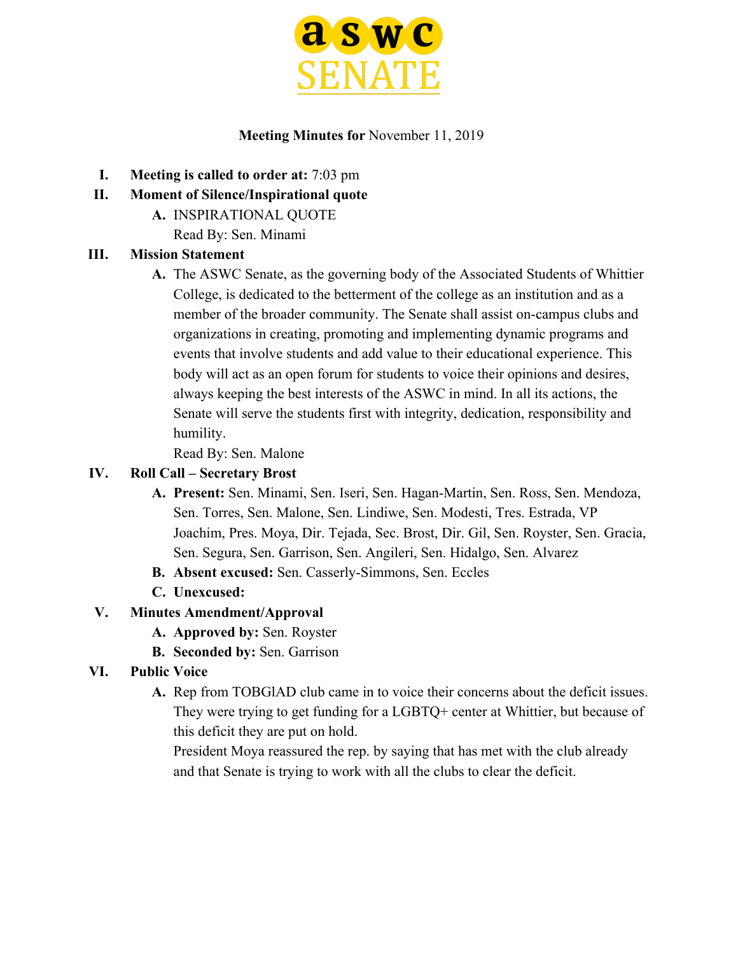

### **Meeting Minutes for** November 11, 2019

- **I. Meeting is called to order at:** 7:03 pm
- **II. Moment of Silence/Inspirational quote**
	- **A.** INSPIRATIONAL QUOTE
		- Read By: Sen. Minami

### **III. Mission Statement**

**A.** The ASWC Senate, as the governing body of the Associated Students of Whittier College, is dedicated to the betterment of the college as an institution and as a member of the broader community. The Senate shall assist on-campus clubs and organizations in creating, promoting and implementing dynamic programs and events that involve students and add value to their educational experience. This body will act as an open forum for students to voice their opinions and desires, always keeping the best interests of the ASWC in mind. In all its actions, the Senate will serve the students first with integrity, dedication, responsibility and humility.

Read By: Sen. Malone

### **IV. Roll Call – Secretary Brost**

- **A. Present:** Sen. Minami, Sen. Iseri, Sen. Hagan-Martin, Sen. Ross, Sen. Mendoza, Sen. Torres, Sen. Malone, Sen. Lindiwe, Sen. Modesti, Tres. Estrada, VP Joachim, Pres. Moya, Dir. Tejada, Sec. Brost, Dir. Gil, Sen. Royster, Sen. Gracia, Sen. Segura, Sen. Garrison, Sen. Angileri, Sen. Hidalgo, Sen. Alvarez
- **B. Absent excused:** Sen. Casserly-Simmons, Sen. Eccles
- **C. Unexcused:**

# **V. Minutes Amendment/Approval**

- **A. Approved by:** Sen. Royster
- **B. Seconded by:** Sen. Garrison
- **VI. Public Voice**
	- **A.** Rep from TOBGlAD club came in to voice their concerns about the deficit issues. They were trying to get funding for a LGBTQ+ center at Whittier, but because of this deficit they are put on hold.

President Moya reassured the rep. by saying that has met with the club already and that Senate is trying to work with all the clubs to clear the deficit.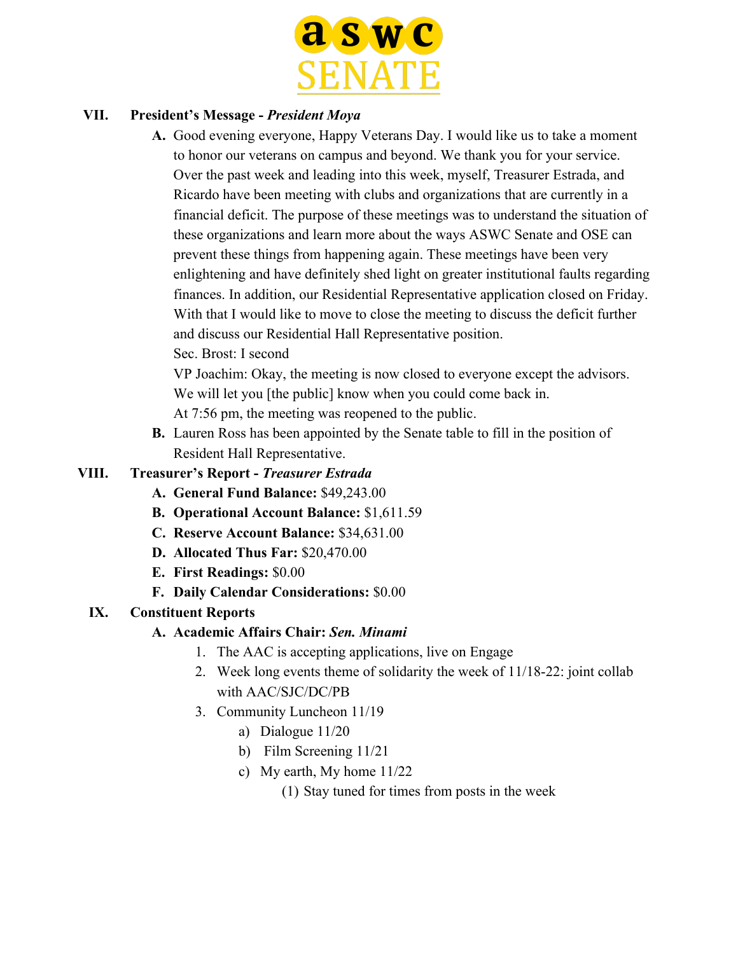

### **VII. President's Message -** *President Moya*

- **A.** Good evening everyone, Happy Veterans Day. I would like us to take a moment to honor our veterans on campus and beyond. We thank you for your service. Over the past week and leading into this week, myself, Treasurer Estrada, and Ricardo have been meeting with clubs and organizations that are currently in a financial deficit. The purpose of these meetings was to understand the situation of these organizations and learn more about the ways ASWC Senate and OSE can prevent these things from happening again. These meetings have been very enlightening and have definitely shed light on greater institutional faults regarding finances. In addition, our Residential Representative application closed on Friday. With that I would like to move to close the meeting to discuss the deficit further and discuss our Residential Hall Representative position.
	- Sec. Brost: I second

VP Joachim: Okay, the meeting is now closed to everyone except the advisors. We will let you [the public] know when you could come back in.

At 7:56 pm, the meeting was reopened to the public.

**B.** Lauren Ross has been appointed by the Senate table to fill in the position of Resident Hall Representative.

### **VIII. Treasurer's Report -** *Treasurer Estrada*

- **A. General Fund Balance:** \$49,243.00
- **B. Operational Account Balance:** \$1,611.59
- **C. Reserve Account Balance:** \$34,631.00
- **D. Allocated Thus Far:** \$20,470.00
- **E. First Readings:** \$0.00
- **F. Daily Calendar Considerations:** \$0.00

### **IX. Constituent Reports**

- **A. Academic Affairs Chair:** *Sen. Minami*
	- 1. The AAC is accepting applications, live on Engage
	- 2. Week long events theme of solidarity the week of 11/18-22: joint collab with AAC/SJC/DC/PB
	- 3. Community Luncheon 11/19
		- a) Dialogue 11/20
		- b) Film Screening 11/21
		- c) My earth, My home 11/22

(1) Stay tuned for times from posts in the week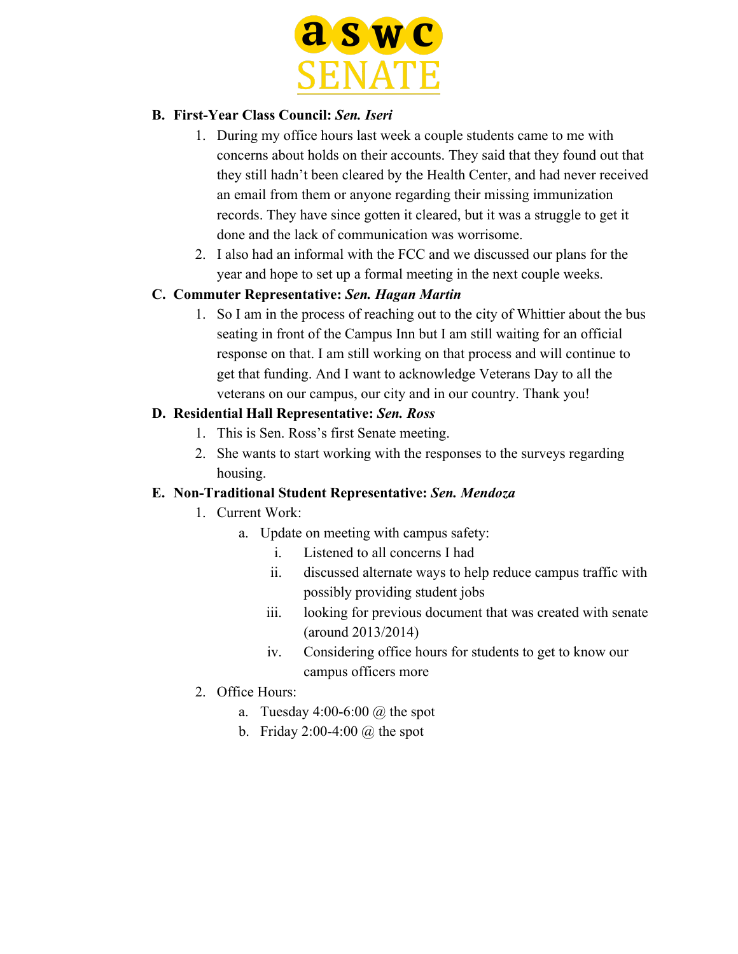

### **B. First-Year Class Council:** *Sen. Iseri*

- 1. During my office hours last week a couple students came to me with concerns about holds on their accounts. They said that they found out that they still hadn't been cleared by the Health Center, and had never received an email from them or anyone regarding their missing immunization records. They have since gotten it cleared, but it was a struggle to get it done and the lack of communication was worrisome.
- 2. I also had an informal with the FCC and we discussed our plans for the year and hope to set up a formal meeting in the next couple weeks.

### **C. Commuter Representative:** *Sen. Hagan Martin*

1. So I am in the process of reaching out to the city of Whittier about the bus seating in front of the Campus Inn but I am still waiting for an official response on that. I am still working on that process and will continue to get that funding. And I want to acknowledge Veterans Day to all the veterans on our campus, our city and in our country. Thank you!

### **D. Residential Hall Representative:** *Sen. Ross*

- 1. This is Sen. Ross's first Senate meeting.
- 2. She wants to start working with the responses to the surveys regarding housing.

### **E. Non-Traditional Student Representative:** *Sen. Mendoza*

### 1. Current Work:

- a. Update on meeting with campus safety:
	- i. Listened to all concerns I had
	- ii. discussed alternate ways to help reduce campus traffic with possibly providing student jobs
	- iii. looking for previous document that was created with senate (around 2013/2014)
	- iv. Considering office hours for students to get to know our campus officers more
- 2. Office Hours:
	- a. Tuesday  $4:00-6:00 \ (\omega)$  the spot
	- b. Friday  $2:00-4:00 \ (\omega)$  the spot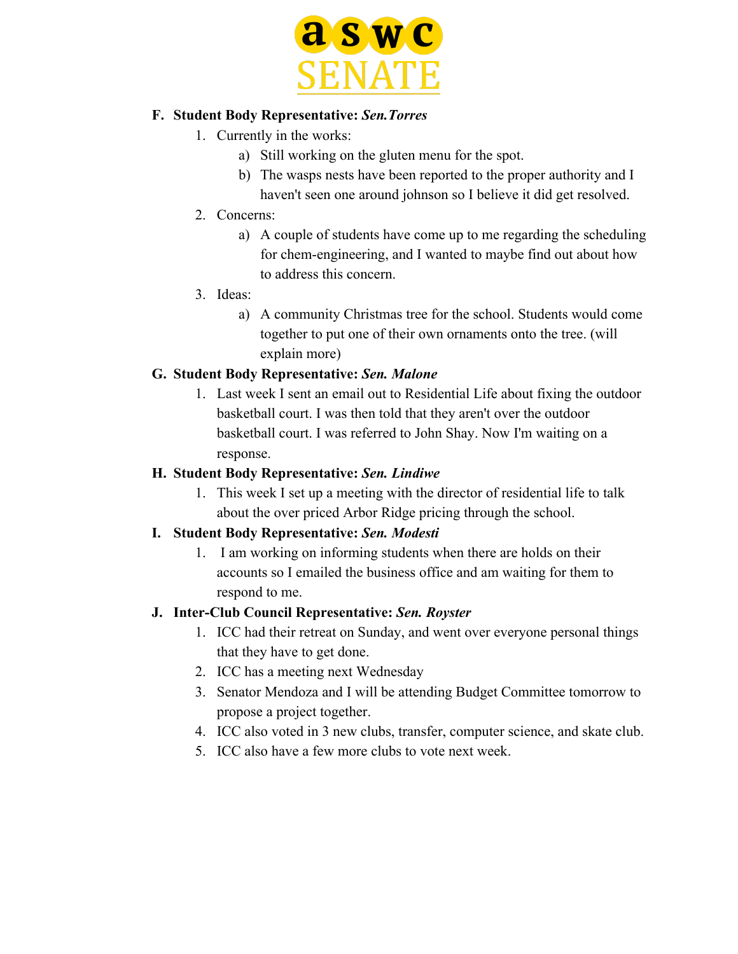

#### **F. Student Body Representative:** *Sen.Torres*

- 1. Currently in the works:
	- a) Still working on the gluten menu for the spot.
	- b) The wasps nests have been reported to the proper authority and I haven't seen one around johnson so I believe it did get resolved.
- 2. Concerns:
	- a) A couple of students have come up to me regarding the scheduling for chem-engineering, and I wanted to maybe find out about how to address this concern.
- 3. Ideas:
	- a) A community Christmas tree for the school. Students would come together to put one of their own ornaments onto the tree. (will explain more)

### **G. Student Body Representative:** *Sen. Malone*

1. Last week I sent an email out to Residential Life about fixing the outdoor basketball court. I was then told that they aren't over the outdoor basketball court. I was referred to John Shay. Now I'm waiting on a response.

### **H. Student Body Representative:** *Sen. Lindiwe*

1. This week I set up a meeting with the director of residential life to talk about the over priced Arbor Ridge pricing through the school.

# **I. Student Body Representative:** *Sen. Modesti*

1. I am working on informing students when there are holds on their accounts so I emailed the business office and am waiting for them to respond to me.

### **J. Inter-Club Council Representative:** *Sen. Royster*

- 1. ICC had their retreat on Sunday, and went over everyone personal things that they have to get done.
- 2. ICC has a meeting next Wednesday
- 3. Senator Mendoza and I will be attending Budget Committee tomorrow to propose a project together.
- 4. ICC also voted in 3 new clubs, transfer, computer science, and skate club.
- 5. ICC also have a few more clubs to vote next week.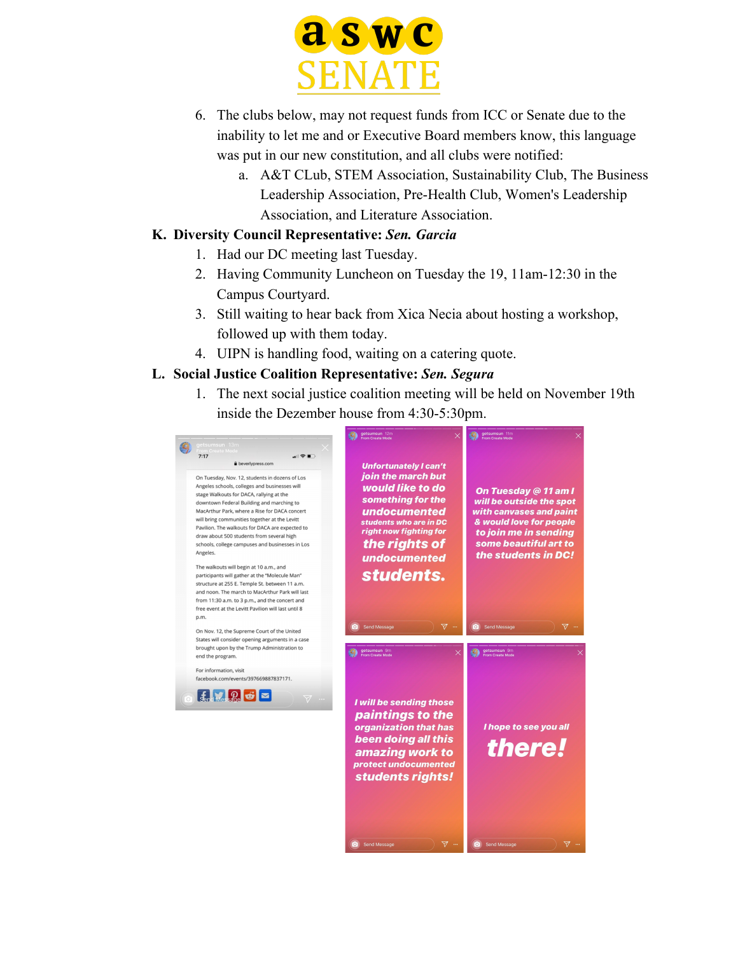

- 6. The clubs below, may not request funds from ICC or Senate due to the inability to let me and or Executive Board members know, this language was put in our new constitution, and all clubs were notified:
	- a. A&T CLub, STEM Association, Sustainability Club, The Business Leadership Association, Pre-Health Club, Women's Leadership Association, and Literature Association.

### **K. Diversity Council Representative:** *Sen. Garcia*

- 1. Had our DC meeting last Tuesday.
- 2. Having Community Luncheon on Tuesday the 19, 11am-12:30 in the Campus Courtyard.
- 3. Still waiting to hear back from Xica Necia about hosting a workshop, followed up with them today.
- 4. UIPN is handling food, waiting on a catering quote.

#### **L. Social Justice Coalition Representative:** *Sen. Segura*

1. The next social justice coalition meeting will be held on November 19th inside the Dezember house from 4:30-5:30pm.

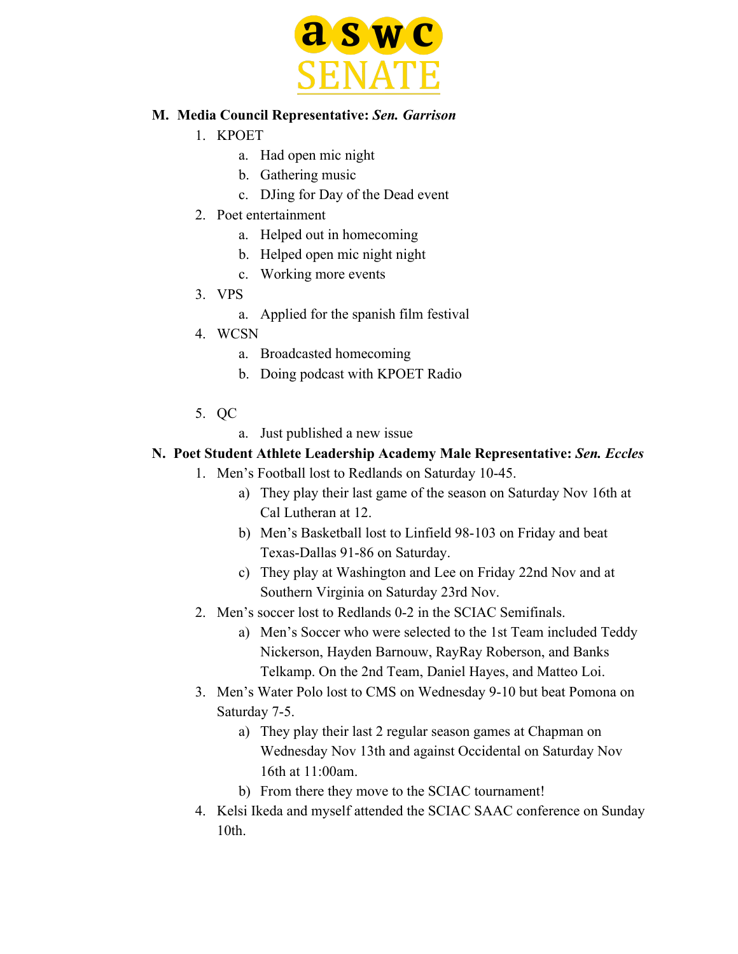

#### **M. Media Council Representative:** *Sen. Garrison*

- 1. KPOET
	- a. Had open mic night
	- b. Gathering music
	- c. DJing for Day of the Dead event
- 2. Poet entertainment
	- a. Helped out in homecoming
	- b. Helped open mic night night
	- c. Working more events
- 3. VPS
	- a. Applied for the spanish film festival
- 4. WCSN
	- a. Broadcasted homecoming
	- b. Doing podcast with KPOET Radio
- 5. QC
	- a. Just published a new issue

### **N. Poet Student Athlete Leadership Academy Male Representative:** *Sen. Eccles*

- 1. Men's Football lost to Redlands on Saturday 10-45.
	- a) They play their last game of the season on Saturday Nov 16th at Cal Lutheran at 12.
	- b) Men's Basketball lost to Linfield 98-103 on Friday and beat Texas-Dallas 91-86 on Saturday.
	- c) They play at Washington and Lee on Friday 22nd Nov and at Southern Virginia on Saturday 23rd Nov.
- 2. Men's soccer lost to Redlands 0-2 in the SCIAC Semifinals.
	- a) Men's Soccer who were selected to the 1st Team included Teddy Nickerson, Hayden Barnouw, RayRay Roberson, and Banks Telkamp. On the 2nd Team, Daniel Hayes, and Matteo Loi.
- 3. Men's Water Polo lost to CMS on Wednesday 9-10 but beat Pomona on Saturday 7-5.
	- a) They play their last 2 regular season games at Chapman on Wednesday Nov 13th and against Occidental on Saturday Nov 16th at 11:00am.
	- b) From there they move to the SCIAC tournament!
- 4. Kelsi Ikeda and myself attended the SCIAC SAAC conference on Sunday 10th.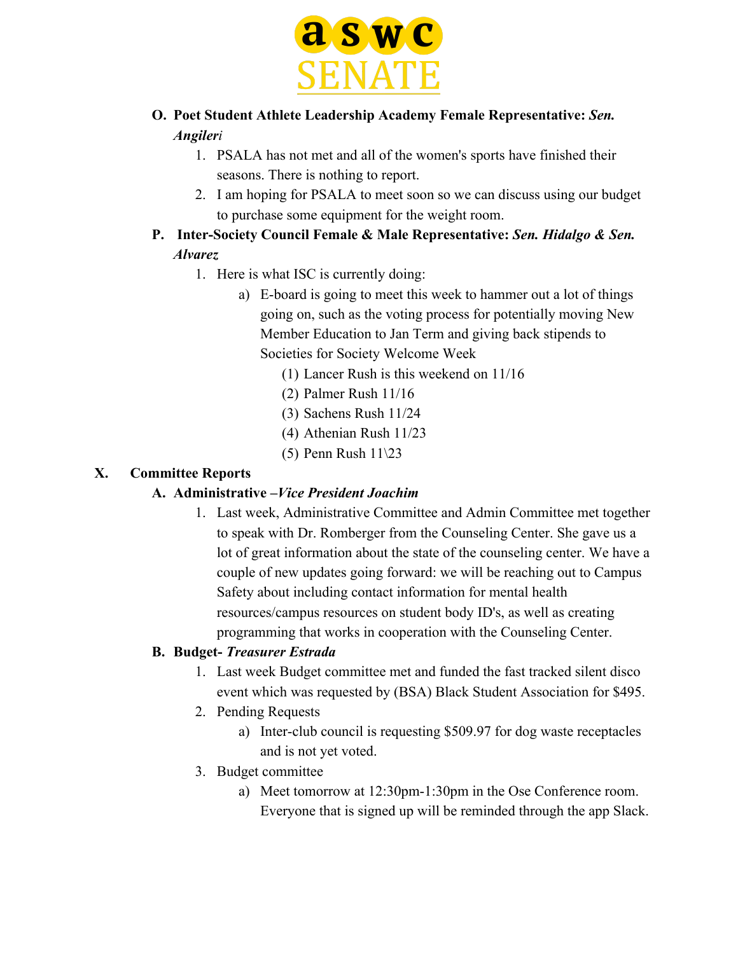

- **O. Poet Student Athlete Leadership Academy Female Representative:** *Sen. Angileri*
	- 1. PSALA has not met and all of the women's sports have finished their seasons. There is nothing to report.
	- 2. I am hoping for PSALA to meet soon so we can discuss using our budget to purchase some equipment for the weight room.
- **P. Inter-Society Council Female & Male Representative:** *Sen. Hidalgo & Sen. Alvarez*
	- 1. Here is what ISC is currently doing:
		- a) E-board is going to meet this week to hammer out a lot of things going on, such as the voting process for potentially moving New Member Education to Jan Term and giving back stipends to Societies for Society Welcome Week
			- (1) Lancer Rush is this weekend on 11/16
			- (2) Palmer Rush 11/16
			- (3) Sachens Rush 11/24
			- (4) Athenian Rush 11/23
			- (5) Penn Rush 11\23

#### **X. Committee Reports**

### **A. Administrative –***Vice President Joachim*

1. Last week, Administrative Committee and Admin Committee met together to speak with Dr. Romberger from the Counseling Center. She gave us a lot of great information about the state of the counseling center. We have a couple of new updates going forward: we will be reaching out to Campus Safety about including contact information for mental health resources/campus resources on student body ID's, as well as creating programming that works in cooperation with the Counseling Center.

### **B. Budget-** *Treasurer Estrada*

- 1. Last week Budget committee met and funded the fast tracked silent disco event which was requested by (BSA) Black Student Association for \$495.
- 2. Pending Requests
	- a) Inter-club council is requesting \$509.97 for dog waste receptacles and is not yet voted.
- 3. Budget committee
	- a) Meet tomorrow at 12:30pm-1:30pm in the Ose Conference room. Everyone that is signed up will be reminded through the app Slack.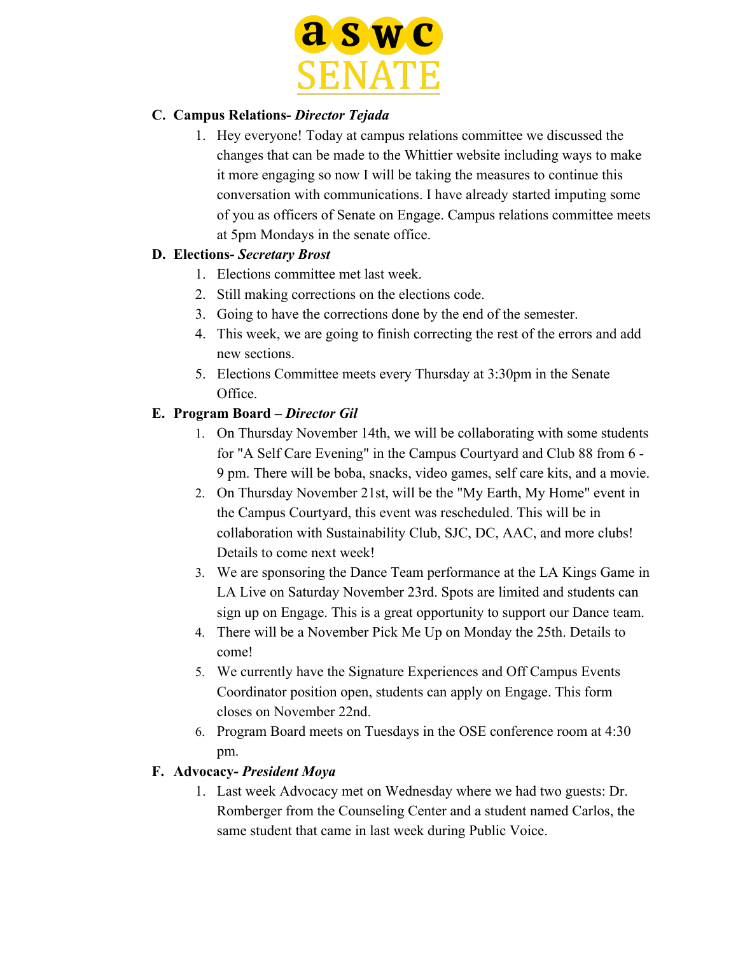

### **C. Campus Relations-** *Director Tejada*

1. Hey everyone! Today at campus relations committee we discussed the changes that can be made to the Whittier website including ways to make it more engaging so now I will be taking the measures to continue this conversation with communications. I have already started imputing some of you as officers of Senate on Engage. Campus relations committee meets at 5pm Mondays in the senate office.

### **D. Elections-** *Secretary Brost*

- 1. Elections committee met last week.
- 2. Still making corrections on the elections code.
- 3. Going to have the corrections done by the end of the semester.
- 4. This week, we are going to finish correcting the rest of the errors and add new sections.
- 5. Elections Committee meets every Thursday at 3:30pm in the Senate Office.

### **E. Program Board –** *Director Gil*

- 1. On Thursday November 14th, we will be collaborating with some students for "A Self Care Evening" in the Campus Courtyard and Club 88 from 6 - 9 pm. There will be boba, snacks, video games, self care kits, and a movie.
- 2. On Thursday November 21st, will be the "My Earth, My Home" event in the Campus Courtyard, this event was rescheduled. This will be in collaboration with Sustainability Club, SJC, DC, AAC, and more clubs! Details to come next week!
- 3. We are sponsoring the Dance Team performance at the LA Kings Game in LA Live on Saturday November 23rd. Spots are limited and students can sign up on Engage. This is a great opportunity to support our Dance team.
- 4. There will be a November Pick Me Up on Monday the 25th. Details to come!
- 5. We currently have the Signature Experiences and Off Campus Events Coordinator position open, students can apply on Engage. This form closes on November 22nd.
- 6. Program Board meets on Tuesdays in the OSE conference room at 4:30 pm.

### **F. Advocacy-** *President Moya*

1. Last week Advocacy met on Wednesday where we had two guests: Dr. Romberger from the Counseling Center and a student named Carlos, the same student that came in last week during Public Voice.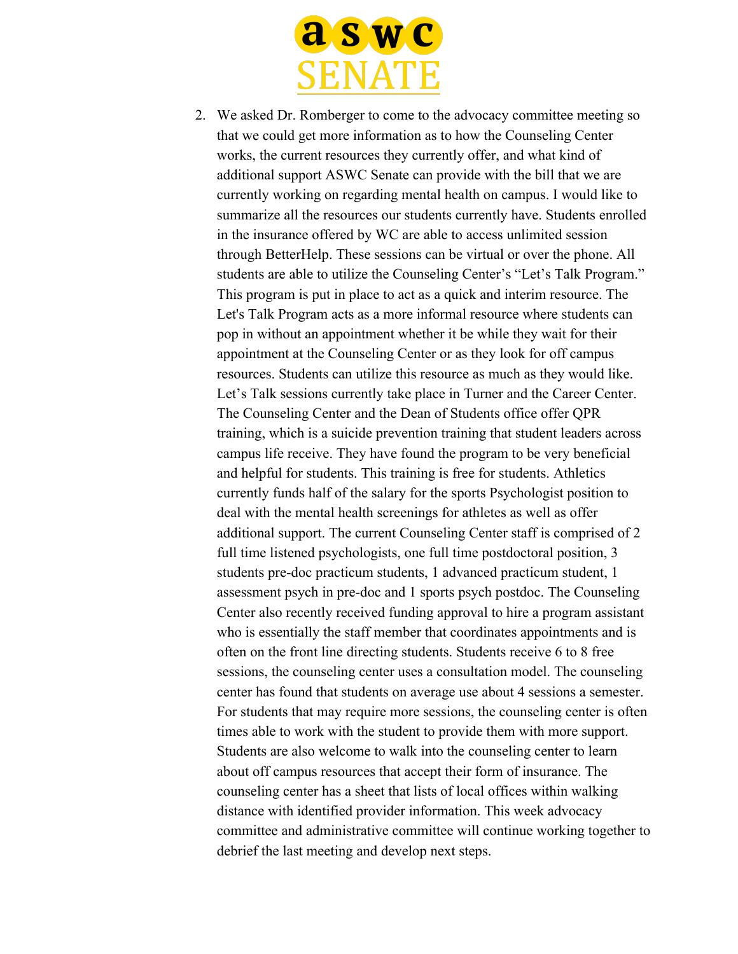

2. We asked Dr. Romberger to come to the advocacy committee meeting so that we could get more information as to how the Counseling Center works, the current resources they currently offer, and what kind of additional support ASWC Senate can provide with the bill that we are currently working on regarding mental health on campus. I would like to summarize all the resources our students currently have. Students enrolled in the insurance offered by WC are able to access unlimited session through BetterHelp. These sessions can be virtual or over the phone. All students are able to utilize the Counseling Center's "Let's Talk Program." This program is put in place to act as a quick and interim resource. The Let's Talk Program acts as a more informal resource where students can pop in without an appointment whether it be while they wait for their appointment at the Counseling Center or as they look for off campus resources. Students can utilize this resource as much as they would like. Let's Talk sessions currently take place in Turner and the Career Center. The Counseling Center and the Dean of Students office offer QPR training, which is a suicide prevention training that student leaders across campus life receive. They have found the program to be very beneficial and helpful for students. This training is free for students. Athletics currently funds half of the salary for the sports Psychologist position to deal with the mental health screenings for athletes as well as offer additional support. The current Counseling Center staff is comprised of 2 full time listened psychologists, one full time postdoctoral position, 3 students pre-doc practicum students, 1 advanced practicum student, 1 assessment psych in pre-doc and 1 sports psych postdoc. The Counseling Center also recently received funding approval to hire a program assistant who is essentially the staff member that coordinates appointments and is often on the front line directing students. Students receive 6 to 8 free sessions, the counseling center uses a consultation model. The counseling center has found that students on average use about 4 sessions a semester. For students that may require more sessions, the counseling center is often times able to work with the student to provide them with more support. Students are also welcome to walk into the counseling center to learn about off campus resources that accept their form of insurance. The counseling center has a sheet that lists of local offices within walking distance with identified provider information. This week advocacy committee and administrative committee will continue working together to debrief the last meeting and develop next steps.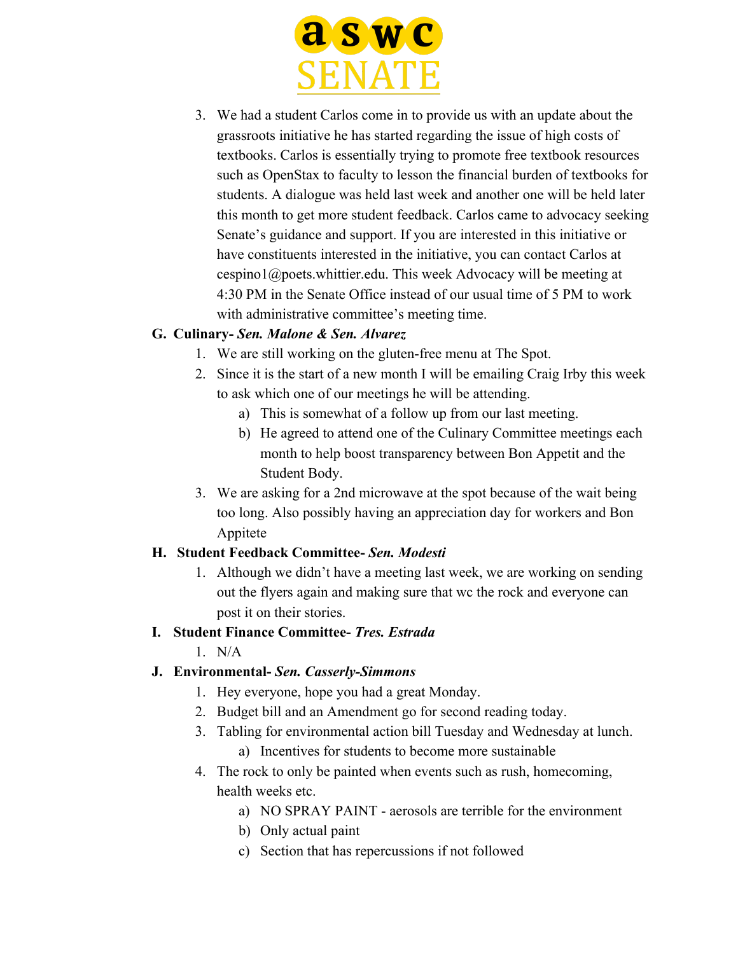

3. We had a student Carlos come in to provide us with an update about the grassroots initiative he has started regarding the issue of high costs of textbooks. Carlos is essentially trying to promote free textbook resources such as OpenStax to faculty to lesson the financial burden of textbooks for students. A dialogue was held last week and another one will be held later this month to get more student feedback. Carlos came to advocacy seeking Senate's guidance and support. If you are interested in this initiative or have constituents interested in the initiative, you can contact Carlos at cespino1@poets.whittier.edu. This week Advocacy will be meeting at 4:30 PM in the Senate Office instead of our usual time of 5 PM to work with administrative committee's meeting time.

### **G. Culinary-** *Sen. Malone & Sen. Alvarez*

- 1. We are still working on the gluten-free menu at The Spot.
- 2. Since it is the start of a new month I will be emailing Craig Irby this week to ask which one of our meetings he will be attending.
	- a) This is somewhat of a follow up from our last meeting.
	- b) He agreed to attend one of the Culinary Committee meetings each month to help boost transparency between Bon Appetit and the Student Body.
- 3. We are asking for a 2nd microwave at the spot because of the wait being too long. Also possibly having an appreciation day for workers and Bon Appitete

### **H. Student Feedback Committee-** *Sen. Modesti*

1. Although we didn't have a meeting last week, we are working on sending out the flyers again and making sure that wc the rock and everyone can post it on their stories.

### **I. Student Finance Committee-** *Tres. Estrada*

 $1$  N/A

# **J. Environmental-** *Sen. Casserly-Simmons*

- 1. Hey everyone, hope you had a great Monday.
- 2. Budget bill and an Amendment go for second reading today.
- 3. Tabling for environmental action bill Tuesday and Wednesday at lunch. a) Incentives for students to become more sustainable
- 4. The rock to only be painted when events such as rush, homecoming, health weeks etc.
	- a) NO SPRAY PAINT aerosols are terrible for the environment
	- b) Only actual paint
	- c) Section that has repercussions if not followed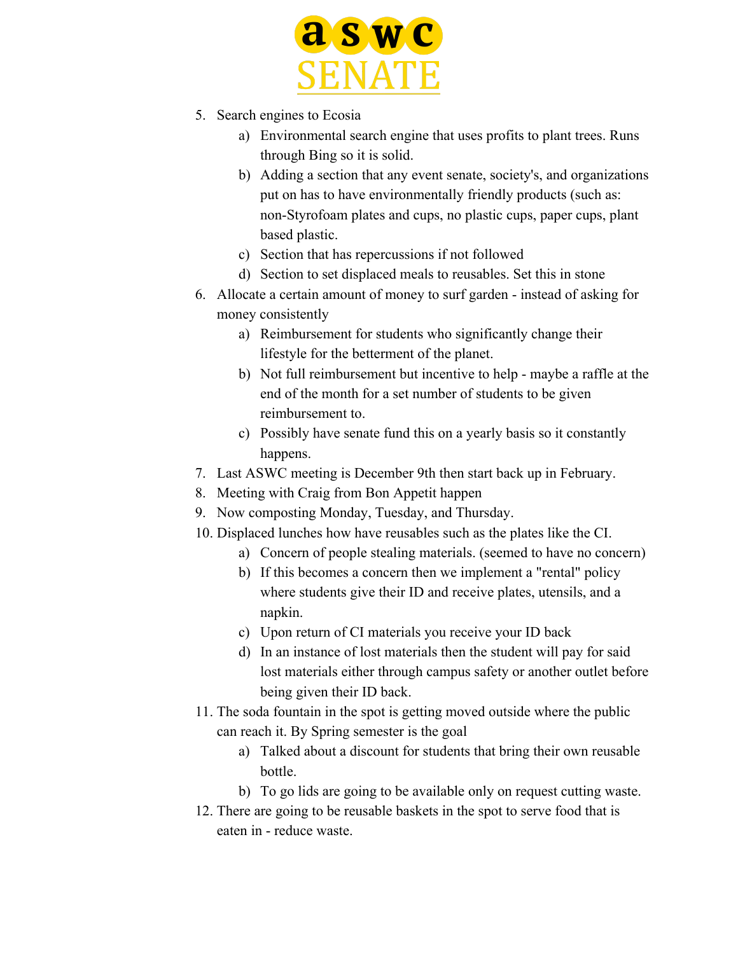

- 5. Search engines to Ecosia
	- a) Environmental search engine that uses profits to plant trees. Runs through Bing so it is solid.
	- b) Adding a section that any event senate, society's, and organizations put on has to have environmentally friendly products (such as: non-Styrofoam plates and cups, no plastic cups, paper cups, plant based plastic.
	- c) Section that has repercussions if not followed
	- d) Section to set displaced meals to reusables. Set this in stone
- 6. Allocate a certain amount of money to surf garden instead of asking for money consistently
	- a) Reimbursement for students who significantly change their lifestyle for the betterment of the planet.
	- b) Not full reimbursement but incentive to help maybe a raffle at the end of the month for a set number of students to be given reimbursement to.
	- c) Possibly have senate fund this on a yearly basis so it constantly happens.
- 7. Last ASWC meeting is December 9th then start back up in February.
- 8. Meeting with Craig from Bon Appetit happen
- 9. Now composting Monday, Tuesday, and Thursday.
- 10. Displaced lunches how have reusables such as the plates like the CI.
	- a) Concern of people stealing materials. (seemed to have no concern)
	- b) If this becomes a concern then we implement a "rental" policy where students give their ID and receive plates, utensils, and a napkin.
	- c) Upon return of CI materials you receive your ID back
	- d) In an instance of lost materials then the student will pay for said lost materials either through campus safety or another outlet before being given their ID back.
- 11. The soda fountain in the spot is getting moved outside where the public can reach it. By Spring semester is the goal
	- a) Talked about a discount for students that bring their own reusable bottle.
	- b) To go lids are going to be available only on request cutting waste.
- 12. There are going to be reusable baskets in the spot to serve food that is eaten in - reduce waste.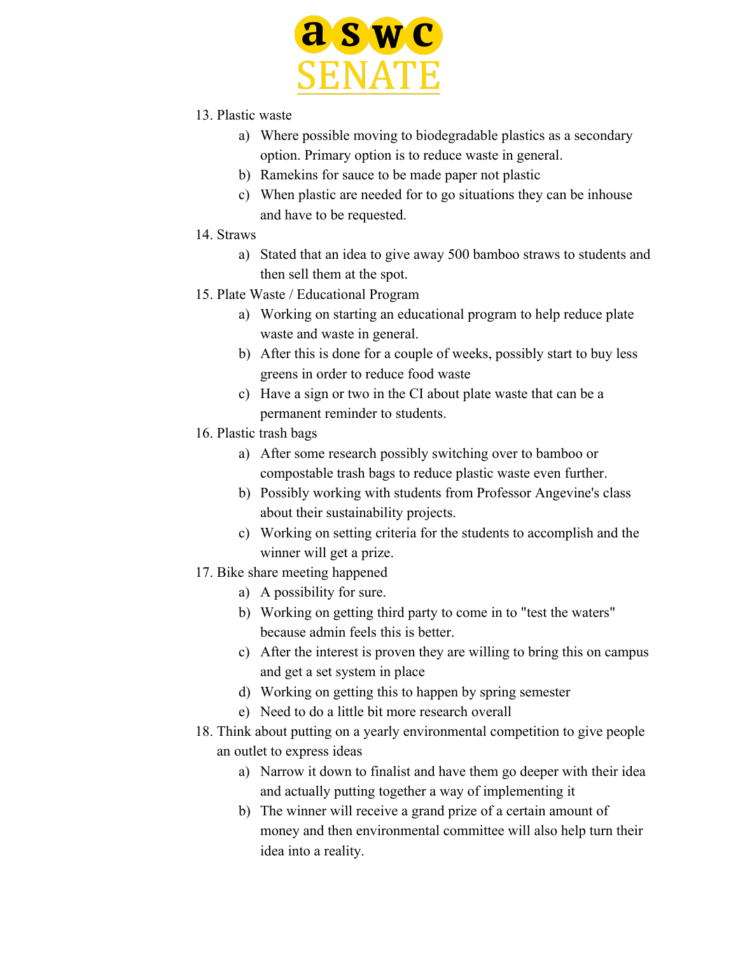

- 13. Plastic waste
	- a) Where possible moving to biodegradable plastics as a secondary option. Primary option is to reduce waste in general.
	- b) Ramekins for sauce to be made paper not plastic
	- c) When plastic are needed for to go situations they can be inhouse and have to be requested.
- 14. Straws
	- a) Stated that an idea to give away 500 bamboo straws to students and then sell them at the spot.
- 15. Plate Waste / Educational Program
	- a) Working on starting an educational program to help reduce plate waste and waste in general.
	- b) After this is done for a couple of weeks, possibly start to buy less greens in order to reduce food waste
	- c) Have a sign or two in the CI about plate waste that can be a permanent reminder to students.
- 16. Plastic trash bags
	- a) After some research possibly switching over to bamboo or compostable trash bags to reduce plastic waste even further.
	- b) Possibly working with students from Professor Angevine's class about their sustainability projects.
	- c) Working on setting criteria for the students to accomplish and the winner will get a prize.
- 17. Bike share meeting happened
	- a) A possibility for sure.
	- b) Working on getting third party to come in to "test the waters" because admin feels this is better.
	- c) After the interest is proven they are willing to bring this on campus and get a set system in place
	- d) Working on getting this to happen by spring semester
	- e) Need to do a little bit more research overall
- 18. Think about putting on a yearly environmental competition to give people an outlet to express ideas
	- a) Narrow it down to finalist and have them go deeper with their idea and actually putting together a way of implementing it
	- b) The winner will receive a grand prize of a certain amount of money and then environmental committee will also help turn their idea into a reality.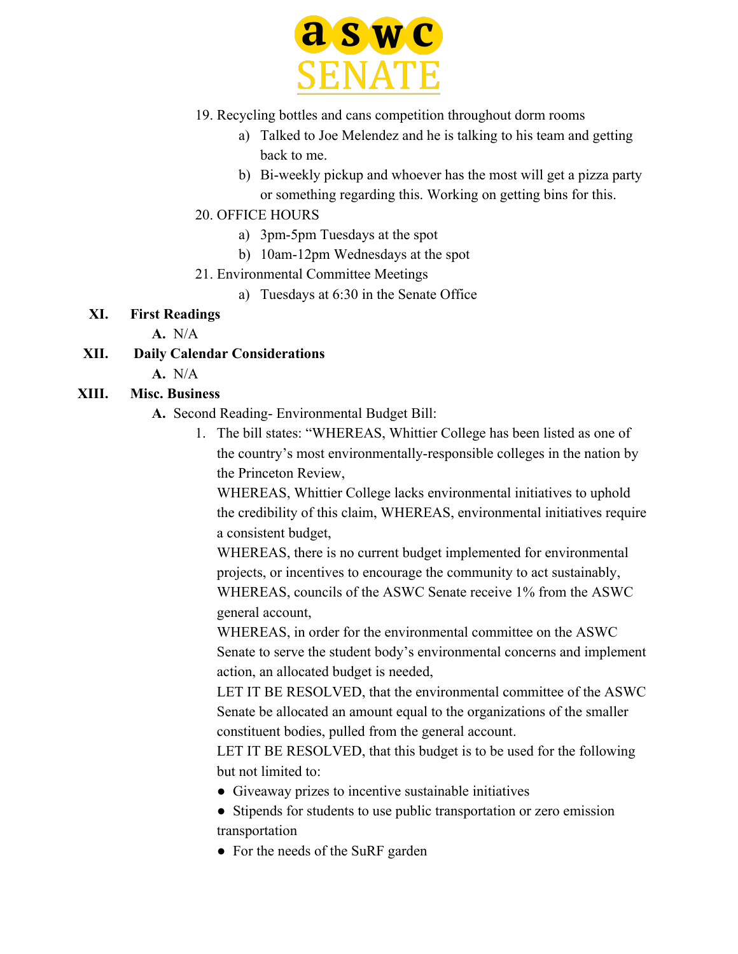

- 19. Recycling bottles and cans competition throughout dorm rooms
	- a) Talked to Joe Melendez and he is talking to his team and getting back to me.
	- b) Bi-weekly pickup and whoever has the most will get a pizza party or something regarding this. Working on getting bins for this.
- 20. OFFICE HOURS
	- a) 3pm-5pm Tuesdays at the spot
	- b) 10am-12pm Wednesdays at the spot
- 21. Environmental Committee Meetings
	- a) Tuesdays at 6:30 in the Senate Office

#### **XI. First Readings**

**A.** N/A

- **XII. Daily Calendar Considerations**
	- **A.** N/A

### **XIII. Misc. Business**

- **A.** Second Reading- Environmental Budget Bill:
	- 1. The bill states: "WHEREAS, Whittier College has been listed as one of the country's most environmentally-responsible colleges in the nation by the Princeton Review,

WHEREAS, Whittier College lacks environmental initiatives to uphold the credibility of this claim, WHEREAS, environmental initiatives require a consistent budget,

WHEREAS, there is no current budget implemented for environmental projects, or incentives to encourage the community to act sustainably, WHEREAS, councils of the ASWC Senate receive 1% from the ASWC general account,

WHEREAS, in order for the environmental committee on the ASWC Senate to serve the student body's environmental concerns and implement action, an allocated budget is needed,

LET IT BE RESOLVED, that the environmental committee of the ASWC Senate be allocated an amount equal to the organizations of the smaller constituent bodies, pulled from the general account.

LET IT BE RESOLVED, that this budget is to be used for the following but not limited to:

- Giveaway prizes to incentive sustainable initiatives
- Stipends for students to use public transportation or zero emission transportation
- For the needs of the SuRF garden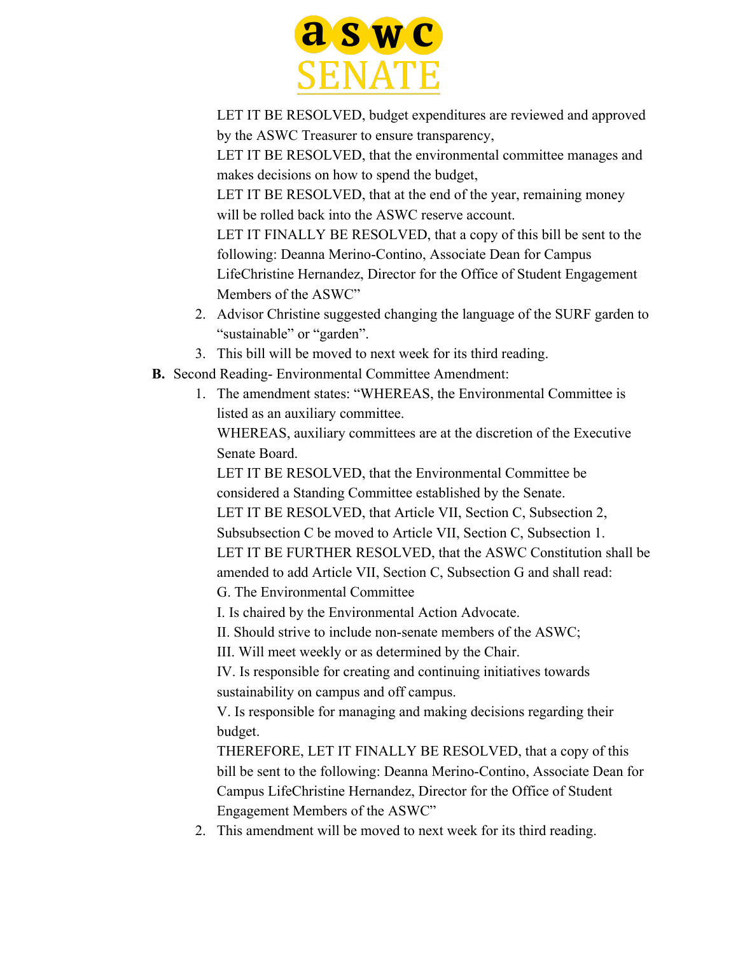

LET IT BE RESOLVED, budget expenditures are reviewed and approved by the ASWC Treasurer to ensure transparency,

LET IT BE RESOLVED, that the environmental committee manages and makes decisions on how to spend the budget,

LET IT BE RESOLVED, that at the end of the year, remaining money will be rolled back into the ASWC reserve account.

LET IT FINALLY BE RESOLVED, that a copy of this bill be sent to the following: Deanna Merino-Contino, Associate Dean for Campus LifeChristine Hernandez, Director for the Office of Student Engagement Members of the ASWC"

- 2. Advisor Christine suggested changing the language of the SURF garden to "sustainable" or "garden".
- 3. This bill will be moved to next week for its third reading.
- **B.** Second Reading- Environmental Committee Amendment:
	- 1. The amendment states: "WHEREAS, the Environmental Committee is listed as an auxiliary committee.

WHEREAS, auxiliary committees are at the discretion of the Executive Senate Board.

LET IT BE RESOLVED, that the Environmental Committee be considered a Standing Committee established by the Senate. LET IT BE RESOLVED, that Article VII, Section C, Subsection 2, Subsubsection C be moved to Article VII, Section C, Subsection 1. LET IT BE FURTHER RESOLVED, that the ASWC Constitution shall be amended to add Article VII, Section C, Subsection G and shall read: G. The Environmental Committee

I. Is chaired by the Environmental Action Advocate.

II. Should strive to include non-senate members of the ASWC;

III. Will meet weekly or as determined by the Chair.

IV. Is responsible for creating and continuing initiatives towards sustainability on campus and off campus.

V. Is responsible for managing and making decisions regarding their budget.

THEREFORE, LET IT FINALLY BE RESOLVED, that a copy of this bill be sent to the following: Deanna Merino-Contino, Associate Dean for Campus LifeChristine Hernandez, Director for the Office of Student Engagement Members of the ASWC"

2. This amendment will be moved to next week for its third reading.